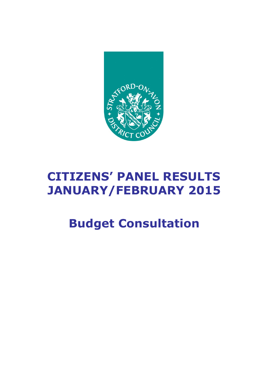

# **CITIZENS' PANEL RESULTS JANUARY/FEBRUARY 2015**

# **Budget Consultation**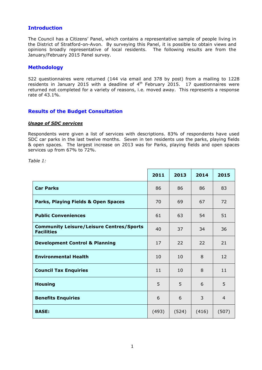# **Introduction**

The Council has a Citizens' Panel, which contains a representative sample of people living in the District of Stratford-on-Avon. By surveying this Panel, it is possible to obtain views and opinions broadly representative of local residents. The following results are from the January/February 2015 Panel survey.

### **Methodology**

522 questionnaires were returned (144 via email and 378 by post) from a mailing to 1228 residents in January 2015 with a deadline of  $4<sup>th</sup>$  February 2015. 17 questionnaires were returned not completed for a variety of reasons, i.e. moved away. This represents a response rate of 43.1%.

## **Results of the Budget Consultation**

#### *Usage of SDC services*

Respondents were given a list of services with descriptions. 83% of respondents have used SDC car parks in the last twelve months. Seven in ten residents use the parks, playing fields & open spaces. The largest increase on 2013 was for Parks, playing fields and open spaces services up from 67% to 72%.

*Table 1:* 

|                                                                      | 2011  | 2013  | 2014  | 2015           |
|----------------------------------------------------------------------|-------|-------|-------|----------------|
| <b>Car Parks</b>                                                     | 86    | 86    | 86    | 83             |
| Parks, Playing Fields & Open Spaces                                  | 70    | 69    | 67    | 72             |
| <b>Public Conveniences</b>                                           | 61    | 63    | 54    | 51             |
| <b>Community Leisure/Leisure Centres/Sports</b><br><b>Facilities</b> | 40    | 37    | 34    | 36             |
| <b>Development Control &amp; Planning</b>                            | 17    | 22    | 22    | 21             |
| <b>Environmental Health</b>                                          | 10    | 10    | 8     | 12             |
| <b>Council Tax Enquiries</b>                                         | 11    | 10    | 8     | 11             |
| <b>Housing</b>                                                       | 5     | 5     | 6     | 5              |
| <b>Benefits Enquiries</b>                                            | 6     | 6     | 3     | $\overline{4}$ |
| <b>BASE:</b>                                                         | (493) | (524) | (416) | (507)          |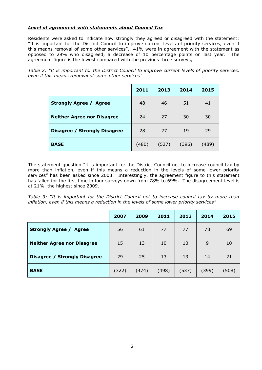#### *Level of agreement with statements about Council Tax*

Residents were asked to indicate how strongly they agreed or disagreed with the statement: "It is important for the District Council to improve current levels of priority services, even if this means removal of some other services". 41% were in agreement with the statement as opposed to 29% who disagreed, a decrease of 10 percentage points on last year. The agreement figure is the lowest compared with the previous three surveys,

*Table 2: "It is important for the District Council to improve current levels of priority services, even if this means removal of some other services"*

|                                   | 2011  | 2013  | 2014  | 2015  |
|-----------------------------------|-------|-------|-------|-------|
| <b>Strongly Agree / Agree</b>     | 48    | 46    | 51    | 41    |
| <b>Neither Agree nor Disagree</b> | 24    | 27    | 30    | 30    |
| Disagree / Strongly Disagree      | 28    | 27    | 19    | 29    |
| <b>BASE</b>                       | (480) | (527) | (396) | (489) |

The statement question "it is important for the District Council not to increase council tax by more than inflation, even if this means a reduction in the levels of some lower priority services" has been asked since 2003. Interestingly, the agreement figure to this statement has fallen for the first time in four surveys down from 78% to 69%. The disagreement level is at 21%, the highest since 2009.

*Table 3: "It is important for the District Council not to increase council tax by more than inflation, even if this means a reduction in the levels of some lower priority services"*

|                                         | 2007  | 2009  | 2011  | 2013  | 2014  | 2015  |
|-----------------------------------------|-------|-------|-------|-------|-------|-------|
| <b>Strongly Agree /</b><br><b>Agree</b> | 56    | 61    | 77    | 77    | 78    | 69    |
| <b>Neither Agree nor Disagree</b>       | 15    | 13    | 10    | 10    | 9     | 10    |
| <b>Disagree / Strongly Disagree</b>     | 29    | 25    | 13    | 13    | 14    | 21    |
| <b>BASE</b>                             | (322) | (474) | (498) | (537) | (399) | (508) |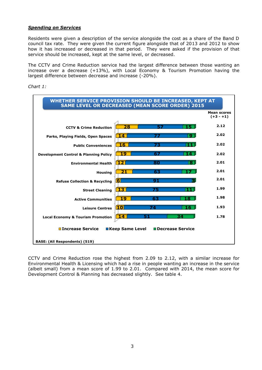#### *Spending on Services*

Residents were given a description of the service alongside the cost as a share of the Band D council tax rate. They were given the current figure alongside that of 2013 and 2012 to show how it has increased or decreased in that period. They were asked if the provision of that service should be increased, kept at the same level, or decreased.

The CCTV and Crime Reduction service had the largest difference between those wanting an increase over a decrease (+13%), with Local Economy & Tourism Promotion having the largest difference between decrease and increase (-20%).



*Chart 1:* 

CCTV and Crime Reduction rose the highest from 2.09 to 2.12, with a similar increase for Environmental Health & Licensing which had a rise in people wanting an increase in the service (albeit small) from a mean score of 1.99 to 2.01. Compared with 2014, the mean score for Development Control & Planning has decreased slightly. See table 4.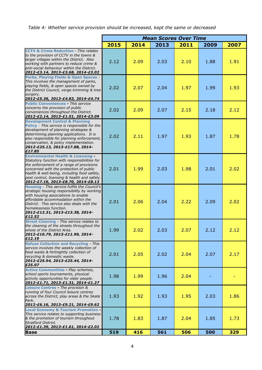*Table 4: Whether service provision should be increased, kept the same or decreased*

|                                                                                                                                                                                                                                                                                                                           | <b>Mean Scores Over Time</b> |      |      |      |      |      |
|---------------------------------------------------------------------------------------------------------------------------------------------------------------------------------------------------------------------------------------------------------------------------------------------------------------------------|------------------------------|------|------|------|------|------|
|                                                                                                                                                                                                                                                                                                                           | 2015                         | 2014 | 2013 | 2011 | 2009 | 2007 |
| <b>CCTV &amp; Crime Reduction - This relates</b><br>to the provision of CCTV in the towns &<br>larger villages within the District. Also<br>working with partners to reduce crime &<br>anti-social behaviour within the District.<br>2012-£3.14, 2013-£3.68, 2014-£3.02                                                   | 2.12                         | 2.09 | 2.03 | 2.10 | 1.88 | 1.91 |
| <b>Parks, Playing Fields &amp; Open Spaces</b><br>This involves the management of parks,<br>playing fields, & open spaces owned by<br>the District Council, verge trimming & tree<br>surgery.<br>2012-£5.36, 2013-£4.83, 2014-£4.74                                                                                       | 2.02                         | 2.07 | 2.04 | 1.97 | 1.99 | 1.93 |
| <b>Public Conveniences - This service</b><br>concerns the provision of public<br>conveniences throughout the District.<br>2012-£2.14, 2013-£1.51, 2014-£3.09                                                                                                                                                              | 2.02                         | 2.09 | 2.07 | 2.15 | 2.18 | 2.12 |
| <b>Development Control &amp; Planning</b><br>Policy - This service is responsible for the<br>development of planning strategies &<br>determining planning applications. It is<br>also responsible for planning enforcement,<br>conservation, & policy implementation.<br>2012-£25.13, 2013-£17.88, 2014-<br>£17.85        | 2.02                         | 2.11 | 1.97 | 1.93 | 1.87 | 1.78 |
| <b>Environmental Health &amp; Licensing -</b><br>Statutory function with responsibilities for<br>the enforcement of a range of provisions<br>concerned with the protection of public<br>health & well-being, including food safety,<br>pest control, licensing & health and safety.<br>2012-£7.16, 2013-£8.70, 2014-£8.13 | 2.01                         | 1.99 | 2.03 | 1.98 | 2.01 | 2.02 |
| Housing - This service fulfils the Council's<br>strategic housing responsibility by working<br>with housing associations to enable<br>affordable accommodation within the<br>District. This service also deals with the<br>homelessness function.<br>2012-£12.31, 2013-£13.38, 2014-<br>£12.52                            | 2.01                         | 2.06 | 2.04 | 2.22 | 2.09 | 2.02 |
| <b>Street Cleaning - This service relates to</b><br>the cleaning of the streets throughout the<br>whole of the District Area.<br>2012-£10.79, 2013-£11.99, 2014-<br>£12.19                                                                                                                                                | 1.99                         | 2.02 | 2.03 | 2.07 | 2.12 | 2.12 |
| <b>Refuse Collection and Recycling - This</b><br>service involves the weekly collection of<br>food waste & fortnightly collection of<br>recycling & domestic waste.<br>2012-£25.94, 2013-£25.44, 2014-<br>£25.07                                                                                                          | 2.01                         | 2.05 | 2.02 | 2.04 | 2.07 | 2.17 |
| <b>Active Communities - Play schemes,</b><br>school sports tournaments, physical<br>activity opportunities for older people.<br>2012-£1.71, 2013-£1.31, 2014-£1.27                                                                                                                                                        | 1.98                         | 1.99 | 1.96 | 2.04 |      |      |
| Leisure Centres - The provision &<br>running of four Council leisure centres<br>across the District, play areas & the Skate<br>Park.<br>2012-£6.16, 2013-£9.21, 2014-£9.62                                                                                                                                                | 1.93                         | 1.92 | 1.93 | 1.95 | 2.03 | 1.86 |
| <b>Local Economy &amp; Tourism Promotion -</b><br>This service relates to supporting business<br>& the promotion of tourism throughout<br><b>Stratford District.</b><br>2012-£1.39, 2013-£1.61, 2014-£2.02                                                                                                                | 1.78                         | 1.83 | 1.87 | 2.04 | 1.85 | 1.73 |
| <b>Base</b>                                                                                                                                                                                                                                                                                                               | 519                          | 416  | 561  | 506  | 500  | 329  |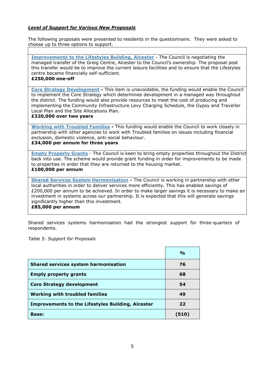### *Level of Support for Various New Proposals*

The following proposals were presented to residents in the questionnaire. They were asked to choose up to three options to support.

**Improvements to the Lifestyles Building, Alcester** - The Council is negotiating the managed transfer of the Greig Centre, Alcester to the Council's ownership. The proposal post this transfer would be to improve the current leisure facilities and to ensure that the Lifestyles centre became financially self-sufficient.

#### **£250,000 one-off**

**Core Strategy Development -** This item is unavoidable, the funding would enable the Council to implement the Core Strategy which determines development in a managed way throughout the district. The funding would also provide resources to meet the cost of producing and implementing the Community Infrastructure Levy Charging Schedule, the Gypsy and Traveller Local Plan and the Site Allocations Plan.

#### **£320,000 over two years**

**Working with Troubled Families -** This funding would enable the Council to work closely in partnership with other agencies to work with Troubled families on issues including financial exclusion, domestic violence, anti-social behaviour. **£34,000 per annum for three years**

**Empty Property Grants** - The Council is keen to bring empty properties throughout the District back into use. The scheme would provide grant funding in order for improvements to be made to properties in order that they are returned to the housing market.

#### **£100,000 per annum**

**Shared Services System Harmonisation -** The Council is working in partnership with other local authorities in order to deliver services more efficiently. This has enabled savings of £200,000 per annum to be achieved. In order to make larger savings it is necessary to make an investment in systems across our partnership. It is expected that this will generate savings significantly higher than this investment. **£85,000 per annum**

Shared services systems harmonisation had the strongest support for three-quarters of respondents.

*Table 5: Support for Proposals*

|                                                          | $\frac{O}{O}$ |
|----------------------------------------------------------|---------------|
| <b>Shared services system harmonisation</b>              | 76            |
| <b>Empty property grants</b>                             | 68            |
| <b>Core Strategy development</b>                         | 54            |
| <b>Working with troubled families</b>                    | 49            |
| <b>Improvements to the Lifestyles Building, Alcester</b> | 22            |
| <b>Base:</b>                                             | (510)         |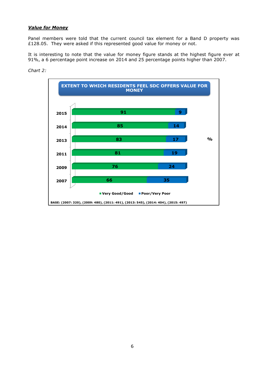#### *Value for Money*

Panel members were told that the current council tax element for a Band D property was £128.05. They were asked if this represented good value for money or not.

It is interesting to note that the value for money figure stands at the highest figure ever at 91%, a 6 percentage point increase on 2014 and 25 percentage points higher than 2007.



*Chart 2:*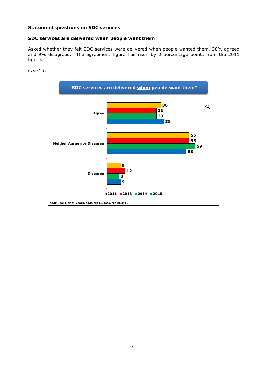#### **Statement questions on SDC services**

#### **SDC services are delivered when people want them**

Asked whether they felt SDC services were delivered when people wanted them, 38% agreed and 9% disagreed. The agreement figure has risen by 2 percentage points from the 2011 figure.



*Chart 3:*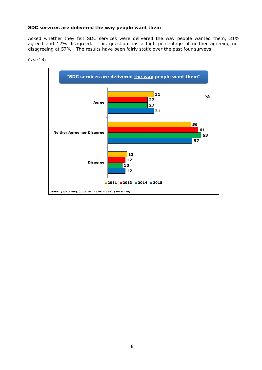#### **SDC services are delivered the way people want them**

Asked whether they felt SDC services were delivered the way people wanted them, 31% agreed and 12% disagreed. This question has a high percentage of neither agreeing nor disagreeing at 57%. The results have been fairly static over the past four surveys.



*Chart 4:*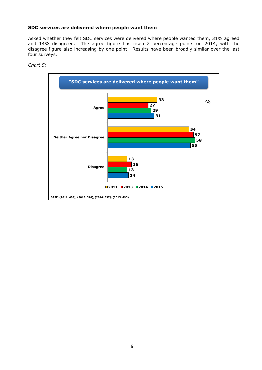#### **SDC services are delivered where people want them**

Asked whether they felt SDC services were delivered where people wanted them, 31% agreed and 14% disagreed. The agree figure has risen 2 percentage points on 2014, with the disagree figure also increasing by one point. Results have been broadly similar over the last four surveys.



*Chart 5:*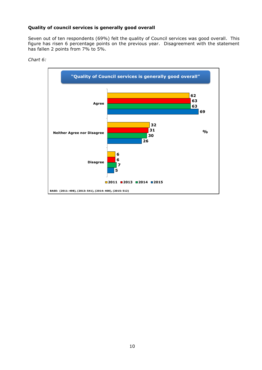#### **Quality of council services is generally good overall**

Seven out of ten respondents (69%) felt the quality of Council services was good overall. This figure has risen 6 percentage points on the previous year. Disagreement with the statement has fallen 2 points from 7% to 5%.



*Chart 6:*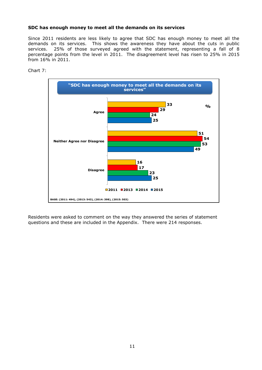#### **SDC has enough money to meet all the demands on its services**

Since 2011 residents are less likely to agree that SDC has enough money to meet all the demands on its services. This shows the awareness they have about the cuts in public services. 25% of those surveyed agreed with the statement, representing a fall of 8 percentage points from the level in 2011. The disagreement level has risen to 25% in 2015 from 16% in 2011.



Chart 7:

Residents were asked to comment on the way they answered the series of statement questions and these are included in the Appendix. There were 214 responses.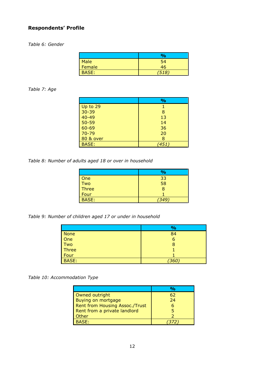# **Respondents' Profile**

*Table 6: Gender*

|              | $\frac{0}{0}$ |
|--------------|---------------|
| <b>Male</b>  | 54            |
| Female       | 46            |
| <b>BASE:</b> | 518.          |

# *Table 7: Age*

|                  | %    |
|------------------|------|
| $\vert$ Up to 29 |      |
| $30 - 39$        | 8    |
| $40 - 49$        | 13   |
| 50-59            | 14   |
| 60-69            | 36   |
| $70 - 79$        | 20   |
| 80 & over        | 8    |
| BASE:            | 451) |

*Table 8: Number of adults aged 18 or over in household*

|              | $\frac{1}{2}$ |
|--------------|---------------|
| One          | 33            |
| Two          | 58            |
| Three        | 8             |
| Four         |               |
| <b>BASE:</b> | 349           |

*Table 9: Number of children aged 17 or under in household*

|              | $\frac{9}{6}$ |
|--------------|---------------|
| <b>None</b>  | 84            |
| One          | 6             |
| Two          | 8             |
| Three        |               |
| Four         |               |
| <b>BASE:</b> | (360)         |

*Table 10: Accommodation Type*

|                                | $\mathbf{O}_\mathbf{O}$ |
|--------------------------------|-------------------------|
| Owned outright                 | 62                      |
| Buying on mortgage             | 24                      |
| Rent from Housing Assoc./Trust |                         |
| Rent from a private landlord   |                         |
| Other                          |                         |
| <b>BASE:</b>                   |                         |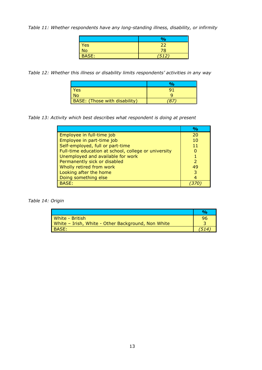*Table 11: Whether respondents have any long-standing illness, disability, or infirmity*

|                | $\frac{1}{2}$ |
|----------------|---------------|
| <b>Yes</b>     | 22            |
| N <sub>o</sub> | 78            |
| <b>BASE:</b>   | (512)         |

*Table 12: Whether this illness or disability limits respondents' activities in any way*

| Yes                           |  |
|-------------------------------|--|
|                               |  |
| BASE: (Those with disability) |  |

*Table 13: Activity which best describes what respondent is doing at present*

|                                                      | $\mathbf{O}_\mathbf{O}$ |
|------------------------------------------------------|-------------------------|
| Employee in full-time job                            | 20                      |
| Employee in part-time job                            | 10                      |
| Self-employed, full or part-time                     |                         |
| Full-time education at school, college or university |                         |
| Unemployed and available for work                    |                         |
| Permanently sick or disabled                         |                         |
| Wholly retired from work                             | 49                      |
| Looking after the home                               |                         |
| Doing something else                                 |                         |
| BASE:                                                |                         |

*Table 14: Origin*

| White - British                                    | 96 |
|----------------------------------------------------|----|
| White - Irish, White - Other Background, Non White |    |
| BASE:                                              |    |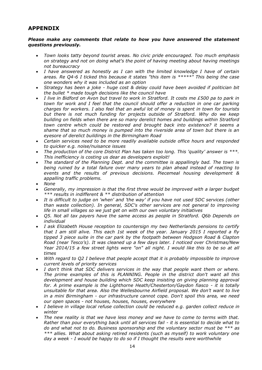# **APPENDIX**

#### *Please make any comments that relate to how you have answered the statement questions previously.*

- *Town looks tatty beyond tourist areas. No civic pride encouraged. Too much emphasis on strategy and not on doing what's the point of having meeting about having meetings not bureaucracy*
- *I have answered as honestly as I can with the limited knowledge I have of certain areas. Re Q4-6 I ticked this because it states "this item is \*\*\*\*\*" This being the case one wonders why it was included as an option*
- *Strategy has been a joke - huge cost & delay could have been avoided if politician bit the bullet \* made tough decisions like the council have*
- *I live in Bidford on Avon but travel to work in Stratford. It costs me £500 pa to park in town for work and I feel that the council should offer a reduction in one car parking charges for workers. I also feel that an awful lot of money is spent in town for tourists but there is not much funding for projects outside of Stratford. Why do we keep building on fields when there are so many derelict homes and buildings within Stratford town centre which could be restored and brought back into existence? it seems a shame that so much money is pumped into the riverside area of town but there is an eyesore of derelict buildings in the Birmingham Road*
- *Certain services need to be more readily available outside office hours and responded to quicker e.g. noise/nuisance issues*
- *The production of the core District Plan has taken too long. This 'quality' answer is \*\*\*. This inefficiency is costing us dear as developers exploit!*
- *The standard of the Planning Dept. and the committee is appallingly bad. The town is being ruined by a total failure over many years to plan ahead instead of reacting to events and the results of previous decisions. Piecemeal housing development & appalling traffic problems.*
- *None*
- *Generally, my impression is that the first three would be improved with a larger budget \*\*\* results in indifferent & \*\* distribution of attention*
- *It is difficult to judge on 'when' and 'the way' if you have not used SDC services (other than waste collection). In general, SDC's other services are not general to improving life in small villages so we just get on with our own voluntary initiatives*
- *Q5. Not all tax payers have the same access as people in Stratford. Q6b Depends on individual*
- *I ask Elizabeth House reception to countersign my two Netherlands pensions to certify that I am still alive. This each 1st week of the year. January 2015 I reported a fly tipped 3 piece suite in the car park by the footpath between Hodgson Road & Clapton Road (near Tesco's). It was cleaned up a few days later. I noticed over Christmas/New Year 2014/15 a few street lights were "on" all night. I would like this to be so at all times*
- *With regard to Q2 I believe that people accept that it is probably impossible to improve current levels of priority services*
- *I don't think that SDC delivers services in the way that people want them or where. The prime examples of this is PLANNING. People in the district don't want all this development and house building which SDC keep insisting on giving planning approval for. A prime example is the Lighthorne Heath/Chesterton/Gaydon fiasco - it is totally unsuitable for that area. Also the Wellesbourne Airfield proposal. We don't want to live in a mini Birmingham - our infrastructure cannot cope. Don't spoil this area, we need our open spaces - not houses, houses, houses, everywhere*
- *I believe in village local refuse collection could be reduced e.g. garden collect reduce in winter*
- *The new reality is that we have less money and we have to come to terms with that. Rather than pour everything back until all services fail - it is essential to decide what to do and what not to do. Business sponsorship and the voluntary sector must be \*\*\* as \*\*\* allies. What about asking retired residents (such as myself) to work voluntary one day a week - I would be happy to do so if I thought the results were worthwhile*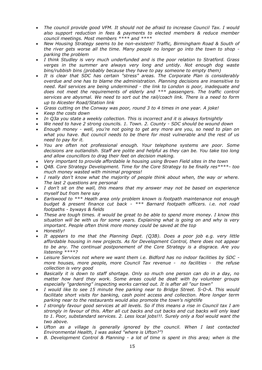- *The council provide good VFM. It should not be afraid to increase Council Tax. I would also support reduction in fees & payments to elected members & reduce member council meetings. Most members \*\*\*\* and \*\*\*\**
- *New Housing Strategy seems to be non-existent! Traffic, Birmingham Road & South of the river gets worse all the time. Many people no longer go into the town to shop parking the problem*
- *I think Studley is very much underfunded and is the poor relation to Stratford. Grass verges in the summer are always very long and untidy. Not enough dog waste bins/rubbish bins (probably because they have to pay someone to empty them)*
- *It is clear that SDC has certain "stress" areas. The Corporate Plan is considerably overdue and one has to blame the administration. Planning decisions are insensitive to need. Rail services are being undermined - the link to London is poor, inadequate and does not meet the requirements of elderly and \*\*\* passengers. The traffic control services are abysmal. We need to sort out the rail/coach link. There is a need to form up to Alcester Road/Station link*
- *Grass cutting on the Conway was poor, round 3 to 4 times in one year. A joke!*
- *Keep the costs down*
- *In Q3a you state a weekly collection. This is incorrect and it is always fortnightly*
- *We need to have 2 strong councils. 1. Town. 2. County - SDC should be wound down*
- *Enough money - well, you're not going to get any more are you, so need to plan on what you have. But council needs to be there for most vulnerable and the rest of us need to pay for it.*
- *You are often not professional enough. Your telephone systems are poor. Some decisions are outlandish. Staff are polite and helpful as they can be. You take too long and allow councillors to drag their feet on decision making.*
- *Very important to provide affordable le housing using Brown Field sites in the town*
- *Q4B. Core Strategy Development. Time for the Core Strategy to be finally res\*\*\*\*- too much money wasted with minimal progress!*
- *I really don't know what the majority of people think about when, the way or where. The last 2 questions are personal*
- *I don't sit on the wall, this means that my answer may not be based on experience myself but from here say*
- *Earlswood to \*\*\* Heath area only problem known is footpath maintenance not enough budget & present finance cut back - \*\*\* Barnard footpath officers. i.e. not road footpaths - byways & fields*
- *These are tough times. it would be great to be able to spend more money. I know this situation will be with us for some years. Explaining what is going on and why is very important. People often think more money could be saved at the top*
- *Honestly!*
- *It appears to me that the Planning Dept. (Q3B). Does a poor job e.g. very little affordable housing in new projects. As for Development Control, there does not appear to be any. The continual postponement of the Core Strategy is a disgrace. Are you listening \*\*\*\*?*
- *Leisure Services not where we want them i.e. Bidford has no indoor facilities by SDC more houses, more people, more Council Tax revenue - no facilities - the refuse collection is very good*
- *Basically it is down to staff shortage. Only so much one person can do in a day, no matter how hard they work. Some areas could be dealt with by volunteer groups especially "gardening" inspecting works carried out. It is after all "our town"*
- *I would like to see 15 minute free parking near to Bridge Street. S-O-A. This would facilitate short visits for banking, cash point access and collection. More longer term parking near to the restaurants would also promote the town's nightlife*
- *I strongly favour good services at all levels. So if this means a rise in Council tax I am strongly in favour of this. After all cut backs and cut backs and cut backs will only lead to 1. Poor, substandard services. 2. Less local jobs!!!. Surely only a fool would want the two above.*
- *Ufton as a village is generally ignored by the council. When I last contacted Environmental Health, I was asked "where is Ufton?"!*
- *B. Development Control & Planning - a lot of time is spent in this area; when is the*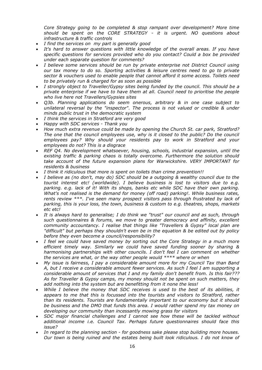*Core Strategy going to be completed & stop rampant over development? More time should be spent on the CORE STRATEGY - it is urgent. NO questions about infrastructure & traffic controls*

- *I find the services on my part is generally good*
- *It's hard to answer questions with little knowledge of the overall areas. If you have specific questions for services provided who do you contact? Could a box be provided under each separate question for comments?*
- *I believe some services should be run by private enterprise not District Council using our tax money to do so. Sporting activities & leisure centres need to go to private sector & vouchers used to enable people that cannot afford it some access. Toilets need to be privately run & charged for as soon as possible*
- *I strongly object to Traveller/Gypsy sites being funded by the council. This should be a private enterprise if we have to have them at all. Council need to prioritise the people who live here not Travellers/Gypsies sites*
- *Q3b. Planning applications do seem onerous, arbitrary & in one case subject to unilateral reversal by the "inspector". The process is not valued or credible & under minds public trust in the democratic system*
- *I think the services in Stratford are very good*
- *Happy with SDC services - Thank you*
- *How much extra revenue could be made by opening the Church St. car park, Stratford? The one that the council employees use, why is it closed to the public? Do the council employees pay? Why should your residents pay to work in Stratford and your employees do not? This is a disgrace*
- *REF Q4. No development whatsoever, housing, schools, industrial expansion, until the existing traffic & parking chaos is totally overcome. Furthermore the solution should take account of the future expansion plans for Warwickshire. VERY IMPORTANT for residents & business*
- *I think it ridiculous that more is spent on toilets than crime prevention!!*
- *I believe as (no don't, may do) SDC should be a outgoing & wealthy council due to the tourist interest etc! (worldwide). I believe business is lost to visitors due to e.g. parking. e.g. lack of it! With its shops, banks etc while SDC have their own parking. What's not realised is the demand for money (off road) parking!. While business rates, rents review \*\*\*. I've seen many prospect visitors pass through frustrated by lack of parking, this is your loss, the town, business & custom to e.g. theatres, shops, markets etc etc!*
- *It is always hard to generalise; I do think we "trust" our council and as such, through such questionnaires & forums, we move to greater democracy and affinity, excellent community accountancy. I realise that things like "Travellers & Gypsy" local plan are "difficult" but perhaps they shouldn't even be in the equation & be edited out by policy before they even become a council/responsibility?*
- *I feel we could have saved money by sorting out the Core Strategy in a much more efficient timely way. Similarly we could have saved funding sooner by sharing & harmonising partnerships with other councils. I don't feel I can comment on whether the services are what, or the way other people would \*\*\*\* where or when*
- *My issue is fairness, I pay a considerable amount more for my Council Tax than Band A, but I receive a considerable amount fewer services. As such I feel I am supporting a considerable amount of services that I and my family don't benefit from. Is this fair??? As for Traveller & Gypsy camps, my money should not be spent on such matters, they add nothing into the system but are benefitting from it none the less!*
- *While I believe the money that SDC receives is used to the best of its abilities, it appears to me that this is focussed into the tourists and visitors to Stratford, rather than its residents. Tourists are fundamentally important to our economy but it should be business and the DMO that funds this area. I would rather spend my tax money on developing our community than incessantly mowing grass for visitors*
- *SDC major financial challenges and I cannot see how these will be tackled without additional income i.e. Council Tax. Perhaps future questionnaires should face this issue?*
- *In regard to the planning section - for goodness sake please stop building more houses. Our town is being ruined and the estates being built look ridiculous. I do not know of*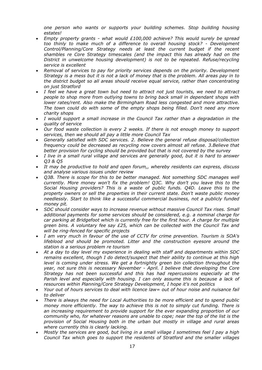*one person who wants or supports your building schemes. Stop building housing estates!*

- *Empty property grants - what would £100,000 achieve? This would surely be spread too thinly to make much of a difference to overall housing stock? - Development Control/Planning/Core Strategy needs at least the current budget if the recent shambles re Core Strategy timescales (and the impact this has already had on the District in unwelcome housing development) is not to be repeated. Refuse/recycling service is excellent*
- *Removal of services to pay for priority services depends on the priority. Development Strategy is a mess but it is not a lack of money that is the problem. All areas pay in to the district budget so all areas should receive equal service, rather than concentrating on just Stratford*
- *I feel we have a great town but need to attract not just tourists, we need to attract people to shop more from outlying towns to bring back small in dependant shops with lower rates/rent. Also make the Birmingham Road less congested and more attractive. The town could do with some of the empty shops being filled. Don't need any more charity shops*
- *I would support a small increase in the Council Tax rather than a degradation in the quality of service*
- *Our food waste collection is every 2 weeks. If there is not enough money to support services, then we should all pay a little more Council Tax*
- *Generally satisfied with SDC services. 2. Believe the general refuse disposal/collection frequency could be decreased as recycling now covers almost all refuse. 3.Believe that better provision for cycling should be provided but that is not covered by the survey*
- *I live in a small rural village and services are generally good, but it is hard to answer Q3 & Q5*
- *It may be productive to hold and open forum,, whereby residents can express, discuss and analyse various issues under review*
- *Q3B. There is scope for this to be better managed. Not something SDC manages well currently. More money won't fix the problem! Q3C. Why don't you leave this to the Social Housing providers? This is a waste of public funds. Q4D. Leave this to the property owners or sell the properties in their current state. Don't waste public money needlessly. Start to think like a successful commercial business, not a publicly funded money pit.*
- *SDC should consider ways to increase revenue without massive Council Tax rises. Small additional payments for some services should be considered, e.g. a nominal charge for car parking at Bridgefoot which is currently free for the first hour. A charge for multiple green bins. A voluntary fee say £25, which can be collected with the Council Tax and will be ring-fenced for specific projects*
- *I am very much in favour of the use of CCTV for crime prevention. Tourism is SOA's lifeblood and should be promoted. Litter and the construction eyesore around the station is a serious problem re tourism*
- *At a day to day level my experience in dealing with staff and departments within SDC remains excellent, though I do detect/suspect that their ability to continue at this high level is coming under stress. We get a fortnightly green bin collection throughout the year, not sure this is necessary November - April. I believe that developing the Core Strategy has not been successful and this has had repercussions especially at the Parish level and especially with housing. I can only assume this is because a lack of resources within Planning/Core Strategy Development, I hope it's not politics*
- *Your out of hours services to deal with licence law= out of hour noise and nuisance fail to deliver*
- *There is always the need for Local Authorities to be more efficient and to spend public money more efficiently. The way to achieve this is not to simply cut funding. There is an increasing requirement to provide support for the ever expanding proportion of our community who, for whatever reasons are unable to cope; near the top of the list is the provision of Social Housing both in the urban but mostly in village and rural areas where currently this is clearly lacking.*
- *Mostly the services are good, but living in a small village I sometimes feel I pay a high Council Tax which goes to support the residents of Stratford and the smaller villages*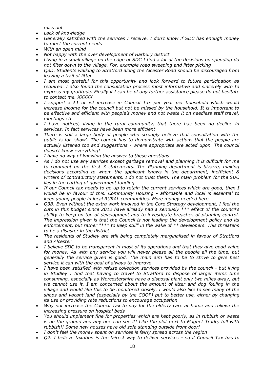*miss out*

- *Lack of knowledge*
- *Generally satisfied with the services I receive. I don't know if SDC has enough money to meet the current needs*
- *With an open mind*
- *Not happy with the over development of Harbury district*
- *Living in a small village on the edge of SDC I find a lot of the decisions on spending do not filter down to the village. For, example road sweeping and litter picking*
- *Q3D. Students walking to Stratford along the Alcester Road should be discouraged from leaving a trail of litter*
- *I am most grateful for this opportunity and look forward to future participation as required. I also found the consultation process most informative and sincerely with to express my gratitude. Finally if I can be of any further assistance please do not hesitate to contact me. XXXXX*
- *I support a £1 or £2 increase in Council Tax per year per household which would increase income for the council but not be missed by the household. It is important to be effective and efficient with people's money and not waste it on needless staff travel, meetings etc*
- I have noticed, living in the rural community, that there has been no decline in *services. In fact services have been more efficient*
- *There is still a large body of people who strongly believe that consultation with the public is for 'show'. The council has to demonstrate with actions that the people are actually listened too and suggestions - where appropriate are acted upon. The council doesn't know everything!*
- *I have no way of knowing the answer to these questions*
- *As I do not use any services except garbage removal and planning it is difficult for me to comment on the first 3 statements. The Planning department is bizarre, making decisions according to whom the applicant knows in the department, inefficient & writers of contradictory statements. I do not trust them. The main problem for the SDC lies in the cutting of government funding*
- *If our Council tax needs to go up to retain the current services which are good, then I would be in favour of this. Community Housing - affordable and local is essential to keep young people in local RURAL communities. More money needed here*
- *Q3B. Even without the extra work involved in the Core Strategy development, I feel the cuts in this budget since 2012 have already had a seriously \*\*\* effect of the council's ability to keep on top of development and to investigate breaches of planning control. The impression given is that the Council is not leading the development policy and its enforcement, but rather "\*\*\* to keep still" in the wake of \*\* developers. This threatens to be a disaster in the district*
- *The residents of Studley are still being completely marginalised in favour of Stratford and Alcester*
- *I believe SDC to be transparent in most of its operations and that they give good value for money. As with any service you will never please all the people all the time, but generally the service given is good. The main aim has to be to strive to give best service it can with the goal of always to improve*
- *I have been satisfied with refuse collection services provided by the council - but living in Studley I find that having to travel to Stratford to dispose of larger items time consuming, especially as Worcestershire have a disposal plant only two miles away, but we cannot use it. I am concerned about the amount of litter and dog fouling in the village and would like this to be monitored closely. I would also like to see many of the shops and vacant land (especially by the COOP) put to better use, either by changing its use or providing rate reductions to encourage occupation*
- *Why not increase the Council Tax to pay for the elderly care at home and relieve the increasing pressure on hospital beds*
- *You should implement fine for properties which are kept poorly, as in rubbish or waste is on the ground and any one can see it! Like the plot next to Magnet Trade, full with rubbish!! Some new houses have old sofa standing outside front door!*
- *I don't feel the money spent on services is fairly spread across the region*
- *Q2. I believe taxation is the fairest way to deliver services - so if Council Tax has to*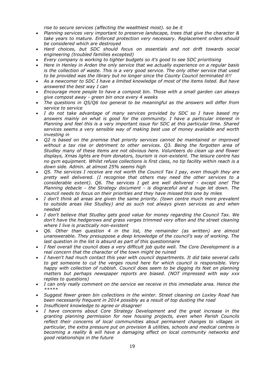*rise to secure services (affecting the wealthiest most). so be it*

- *Planning services very important to preserve landscape, trees that give the character & take years to mature. Enforced protection very necessary. Replacement orders should be considered which are destroyed*
- *Hard choices, but SDC should focus on essentials and not drift towards social engineering (troubled families excepted)*
- *Every company is working to tighter budgets so it's good to see SDC prioritising*
- *Here in Henley in Arden the only service that we actually experience on a regular basis is the collection of waste. This is a very good service. The only other service that used to be provided was the library but no longer since the County Council terminated it!!*
- *As a newcomer to SDC I have a limited knowledge of most of the items listed. But have answered the best way I can*
- *Encourage more people to have a compost bin. Those with a small garden can always give compost away - green bin once every 4 weeks*
- *The questions in Q5/Q6 too general to be meaningful as the answers will differ from service to service*
- *I do not take advantage of many services provided by SDC so I have based my answers mainly on what is good for the community. I have a particular interest in Planning and feel this is a very important issue for SDC at this particular time. Shared services seems a very sensible way of making best use of money available and worth investing in*
- *Q2 is based on the premise that priority services cannot be maintained or improved without a tax rise or detriment to other services. Q3. Being the forgotten area of Studley many of these items are not obvious here. Volunteers do clean up and flower displays, Xmas lights are from donators, tourism is non-existent. The leisure centre has no gym equipment. Whilst refuse collections is first class, no tip facility within reach is a down side. Admin. at almost 25% seems high*
- *Q5. The services I receive are not worth the Council Tax I pay, even though they are pretty well delivered. (I recognise that others may need the other services to a considerable extent). Q6. The services I get are well delivered - except one! The Planning debacle - the Strategy document - is disgraceful and a huge let down. The council needs to focus on their priorities and they have missed this one by miles*
- *I don't think all areas are given the same priority. (town centre much more prevalent to outside areas like Studley) and as such not always given services as and when needed*
- *I don't believe that Studley gets good value for money regarding the Council Tax. We don't have the hedgerows and grass verges trimmed very often and the street cleaning where I live is practically non-existent*
- *Q6. Other than question 4 in the list, the remainder (as written) are almost unanswerable. They presuppose a deep knowledge of the council's way of working. The last question in the list is absurd as part of this questionnaire*
- *I feel overall the council does a very difficult job quite well. The Core Development is a real concern that the character of the town might be ruined*
- *I haven't had much contact this year with council departments. It did take several calls to get someone to cut the verges round here for which council is responsible. Very happy with collection of rubbish. Council does seem to be digging its feet on planning matters but perhaps newspaper reports are biased. (NOT impressed with way xxx replies to questions)*
- *I can only really comment on the service we receive in this immediate area. Hence the \*\*\*\*\**
- *Suggest fewer green bin collections in the winter. Street cleaning on Loxley Road has been necessarily frequent in 2014 possibly as a result of top dusting the road*
- *Insufficient knowledge to agree or disagree!*
- *I have concerns about Core Strategy Development and the great increase in the granting planning permission for new housing projects, even when Parish Councils reflect their concerns of local communities about permanent changes to villages in particular, the extra pressure put on provision & utilities, schools and medical centres is becoming a reality & will have a damaging effect on local community networks and good relationships in the future*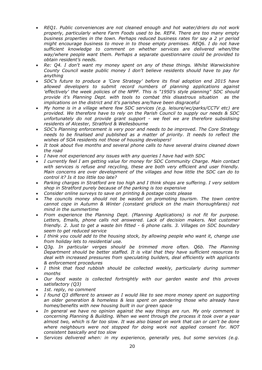- *REQ1. Public conveniences are not cleaned enough and hot water/driers do not work properly, particularly where Farm Foods used to be. REF4. There are too many empty business properties in the town. Perhaps reduced business rates for say a 2 yr period might encourage business to move in to those empty premises. REQ6. I do not have sufficient knowledge to comment on whether services are delivered when/the way/where people want them. Perhaps a separate questionnaire could be provided to obtain resident's needs.*
- *Re: Q4. I don't want my money spent on any of these things. Whilst Warwickshire County Council waste public money I don't believe residents should have to pay for anything*
- *SDC's future to produce a 'Core Strategy' before its final adoption end 2015 have allowed developers to submit record numbers of planning applications against 'effectively' the week policies of the NPPF. This is "1950's style planning" SDC should provide it's Planning Dept. with tools to combat this disastrous situation as the implications on the district and it's parishes are/have been disgraceful*
- *My home is in a village where few SDC services (e.g. leisure/wc/parks/CCTV etc) are provided. We therefore have to rely on the Parish Council to supply our needs & SDC unfortunately do not provide grant support - we feel we are therefore subsidising residents of Alcester, Stratford & Wellesbourne*
- *SDC's Planning enforcement is very poor and needs to be improved. The Core Strategy needs to be finalised and published as a matter of priority. It needs to reflect the wishes of SOA residents not those of housing developers!*
- *It took about five months and several phone calls to have several drains cleaned down the road*
- *I have not experienced any issues with any queries I have had with SDC*
- *I currently feel I am getting value for money for SDC Community Charge. Main contact with services is refuse and recycling, these are both very efficient and user friendly. Main concerns are over development of the villages and how little the SDC can do to control it? Is it too little too late?*
- *Parking charges in Stratford are too high and I think shops are suffering. I very seldom shop in Stratford purely because of the parking is too expensive*
- *Consider online surveys to save on printing & postage costs please*
- *The councils money should not be wasted on promoting tourism. The town centre cannot cope in Autumn & Winter (constant gridlock on the main thoroughfares) not mind in the summertime*
- *From experience the Planning Dept. (Planning Applications) is not fit for purpose.*  Letters, Emails, phone calls not answered. Lack of decision makers. Not customer *friendly. 2. Just to get a waste bin fitted - 6 phone calls. 3. Villages on SDC boundary seem to get reduced service*
- *I think you could add to the housing stock, by allowing people who want it, change use from holiday lets to residential use.*
- *Q3g. In particular verges should be trimmed more often. Q6b. The Planning Department should be better staffed. It is vital that they have sufficient resources to deal with increased pressures from speculating builders, deal efficiently with applicants & enforcement procedures*
- *I think that food rubbish should be collected weekly, particularly during summer months*
- *Our food waste is collected fortnightly with our garden waste and this proves satisfactory (Q3)*
- *1st. reply, no comment*
- *I found Q3 different to answer as I would like to see more money spent on supporting an older generation & homeless & less spent on pandering those who already have homes/benefits with new housing built in our green space*
- *In general we have no opinion against the way things are run. My only comment is concerning Planning & Building. When we went through the process it took over a year almost two, which is far too slow. It was also biased on work that can or can't be done where neighbours were not stopped for doing work not applied consent for. NOT consistent basically and too slow*
- *Services delivered when: in my experience, generally yes, but some services (e.g.*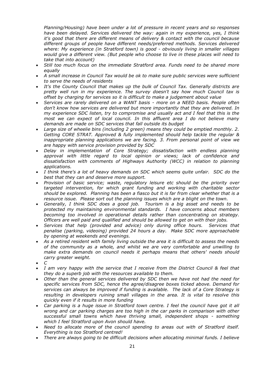*Planning/Housing) have been under a lot of pressure in recent years and so responses have been delayed. Services delivered the way: again in my experience, yes, I think it's good that there are different means of delivery & contact with the council because different groups of people have different needs/preferred methods. Services delivered where: My experience (in Stratford town) is good - obviously living in smaller villages would give a different view. (But people who choose to live in these places will need to take that into account)*

- *Still too much focus on the immediate Stratford area. Funds need to be shared more equally*
- *A small increase in Council Tax would be ok to make sure public services were sufficient to serve the needs of residents*
- *It's the County Council that makes up the bulk of Council Tax. Generally districts are pretty well run in my experience. The survey doesn't say how much Council tax is offset by charging for services so it is difficult to make a judgement about value*
- *Services are rarely delivered on a WANT basis - more on a NEED basis. People often don't know how services are delivered but more importantly that they are delivered. In my experience SDC listen, try to compromise and usually act and I feel that this is the most we can expect of local council. In this affluent area I do not believe many demands are made on SDC services that fall outside its budget*
- *Large size of wheelie bins (including 2 green) means they could be emptied monthly. 2. Getting CORE STRAT. Approved & fully implemented should help tackle the regular & inappropriate planning applications we are facing. 3. From personal point of view we are happy with service provision provided by SDC*
- *Delay in implementation of Core Strategy; dissatisfaction with endless planning approval with little regard to local opinion or views; lack of confidence and dissatisfaction with comments of Highways Authority (WCC) in relation to planning applications.*
- *I think there's a lot of heavy demands on SDC which seems quite unfair. SDC do the best that they can and deserve more support.*
- *Provision of basic service; waste, regulatory leisure etc should be the priority over targeted intervention, for which grant funding and working with charitable sector should be explored. Planning has been a fiasco but it is far from clear whether that is a resource issue. Please sort out the planning issues which are a blight on the town.*
- *Generally, I think SDC does a good job. Tourism is a big asset and needs to be protected my maintaining environmental standards. I have concerns about members becoming too involved in operational details rather than concentrating on strategy. Officers are well paid and qualified and should be allowed to get on with their jobs.*
- *Services that help (provided and advice) only during office hours. Services that penalise (parking, videoing) provided 24 hours a day. Make SDC more approachable by opening at weekends and evenings.*
- *As a retired resident with family living outside the area it is difficult to assess the needs of the community as a whole, and whilst we are very comfortable and unwilling to make extra demands on council needs it perhaps means that others' needs should carry greater weight.*
- *C*
- *I am very happy with the service that I receive from the District Council & feel that they do a superb job with the resources available to them.*
- *Other than the general services delivered by SDC then we have not had the need for specific services from SDC, hence the agree/disagree boxes ticked above. Demand for services can always be improved if funding is available. The lack of a Core Strategy is resulting in developers ruining small villages in the area. It is vital to resolve this quickly even if it results in more funding*
- *Car parking is a huge issue in Stratford town centre. I feel the council have got it all wrong and car parking charges are too high in the car parks in comparison with other successful small towns which have thriving small, independent shops - something which I feel Stratford upon Avon should have.*
- *Need to allocate more of the council spending to areas out with of Stratford itself. Everything is too Stratford centred!*
- *There are always going to be difficult decisions when allocating minimal funds. I believe*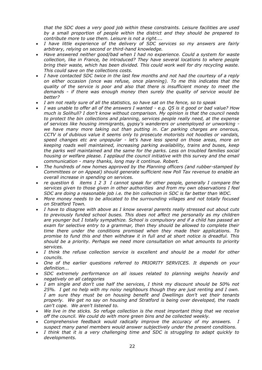*that the SDC does a very good job within these constraints. Leisure facilities are used by a small proportion of people within the district and they should be prepared to contribute more to use them. Leisure is not a right....*

- *I have little experience of the delivery of SDC services so my answers are fairly arbitrary, relying on second or third-hand knowledge.*
- *Have answered neither good/bad when I had no experience. Could a system for waste collection, like in France, be introduced? They have several locations to where people bring their waste, which has been divided. This could work well for dry recycling waste. This could save on the collections costs.*
- *I have contacted SDC twice in the last few months and not had the courtesy of a reply on either occasion (once was refuse, once planning). To me this indicates that the quality of the service is poor and also that there is insufficient money to meet the demands - if there was enough money then surely the quality of service would be better?*
- *I am not really sure of all the statistics, so have sat on the fence, so to speak*
- *I was unable to offer all of the answers I wanted - e.g. Q5 is it good or bad value? How much is Solihull? I don't know without comparison. My opinion is that the council needs to protect the bin collections and planning, services people really need, at the expense of services like housing immigrants, gypsy's wanderers or unemployed or unworking we have many more taking out than putting in. Car parking charges are onerous, CCTV is of dubious value it seems only to prosecute motorists not hoodies or vandals, speed changes etc are unpopular - let's have less spend on those areas, more on keeping roads well maintained, increasing parking availability, trains and buses, keep the parks well maintained and the same for the parks. Less on troubled families social housing or welfare please. I applaud the council initiative with this survey and the email communication - many thanks, long may it continue. Robert.*
- *The hundreds of new homes approved by the Planning officers (and rubber-stamped by Committees or on Appeal) should generate sufficient new Poll Tax revenue to enable an overall increase in spending on services.*
- *re question 6 items 1 2 3 I cannot speak for other people, generally I compare the services given to those given in other authorities and from my own observations I feel SDC are doing a reasonable job i.e. the bin collection in SDC is far better than WDC.*
- *More money needs to be allocated to the surrounding villages and not totally focused on Stratford Town.*
- *I have to disagree with above as I know several parents really stressed out about cuts to previously funded school buses. This does not affect me personally as my children are younger but I totally sympathize. School is compulsory and if a child has passed an exam for selective entry to a grammar, then they should be allowed to complete their time there under the conditions promised when they made their applications. To promise to fund this and then withdraw it in full and at short notice is dreadful. This should be a priority. Perhaps we need more consultation on what amounts to priority services.*
- *I think the refuse collection service is excellent and should be a model for other councils.*
- *One of the earlier questions referred to PRIORITY SERVICES. It depends on your definition...*
- *SDC extremely performance on all issues related to planning weighs heavily and negatively on all categories*
- *I am single and don't use half the services, I think my discount should be 50% not 25%. I get no help with my noisy neighbours though they are just renting and I own. I am sure they must be on housing benefit and Dwellings don't vet their tenants properly. We get no say on housing and Stratford is being over developed, the roads can't cope. We aren't listened to.*
- *We live in the sticks. So refuge collection is the most important thing that we receive off the council. We could do with more green bins and be collected weekly.*
- *Comprehensive feedback would radically improve the accuracy of my answers. I suspect many panel members would answer subjectively under the present conditions.*
- *I think that it is a very challenging time and SDC is struggling to adapt quickly to developments.*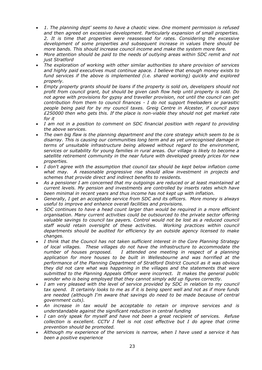- *1. The planning dept' seems to have a chaotic view. One moment permission is refused and then agreed on excessive development. Particularly expansion of small properties. 2. It is time that properties were reassessed for rates. Considering the excessive development of some properties and subsequent increase in values there should be more bands. This should increase council income and make the system more fare.*
- *More attention should be paid to the needs of outlying areas within SDC remit and not just Stratford*
- *The exploration of working with other similar authorities to share provision of services and highly paid executives must continue apace. I believe that enough money exists to fund services if the above is implemented (i.e. shared working) quickly and explored properly.*
- *Empty property grants should be loans if the property is sold on, developers should not profit from council grant, but should be given cash flow help until property is sold. Do not agree with provisions for gypsy and traveller provision, not until the council can get contribution from them to council finances - I do not support freeloaders or parasitic people being paid for by my council taxes. Greig Centre in Alcester, if council pays £250000 then who gets this. If the place is non-viable they should not get market rate for it*
- *I am not in a position to comment on SDC financial position with regard to providing the above services.*
- *The own big flaw is the planning department and the core strategy which seem to be is disarray. This is causing our communities long term and as yet unrecognised damage in terms of unsuitable infrastructure being allowed without regard to the environment, services or suitability for young families in rural areas. Our village is likely to become a satellite retirement community in the near future with developed greedy prices for new properties.*
- *I don't agree with the assumption that council tax should be kept below inflation come what may. A reasonable progressive rise should allow investment in projects and schemes that provide direct and indirect benefits to residents.*
- *As a pensioner I am concerned that my outgoings are reduced or at least maintained at current levels. My pension and investments are controlled by inserts rates which have been minimal in recent years and thus income has not kept up with inflation.*
- *Generally, I get an acceptable service from SDC and its officers. More money is always useful to improve and enhance overall facilities and provisions.*
- *SDC continues to have a head count larger than would be required in a more efficient organisation. Many current activities could be outsourced to the private sector offering valuable savings to council tax payers. Control would not be lost as a reduced council staff would retain oversight of these activities. Working practices within council departments should be audited for efficiency by an outside agency licensed to make changes.*
- *I think that the Council has not taken sufficient interest in the Core Planning Strategy of local villages. These villages do not have the infrastructure to accommodate the number of houses proposed. I attended one meeting in respect of a planning application for more houses to be built in Wellesbourne and was horrified at the performance of the Planning Department of Stratford District Council as it was obvious they did not care what was happening in the villages and the statements that were submitted to the Planning Appeals Officer were incorrect. It makes the general public wonder who is being employed that they cannot simply add up figures correctly.*
- *I am very pleased with the level of service provided by SDC in relation to my council tax spend. It certainly looks to me as if it is being spent well and not as if more funds are needed (although I'm aware that savings do need to be made because of central government cuts).*
- *An increase in tax would be acceptable to retain or improve services and is understandable against the significant reduction in central funding*
- *I can only speak for myself and have not been a great recipient of services. Refuse collection is excellent. CCTV I feel is not cost effective but I do agree that crime prevention should be promoted.*
- *Although my experience of the services is narrow, when I have used a service it has been a positive experience*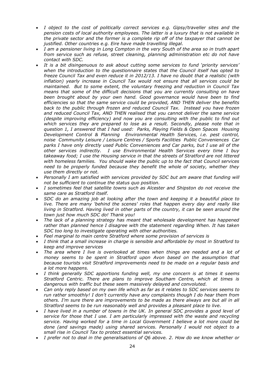- *I object to the cost of politically correct services e.g. Gipsy/traveller sites and the pension costs of local authority employees. The latter is a luxury that is not available in the private sector and the former is a complete rip off of the taxpayer that cannot be justified. Other countries e.g. Eire have made travelling illegal.*
- *I am a pensioner living in Long Compton in the very South of the area so in truth apart from service such as refuse, street cleaning, planning administration etc do not have contact with SDC.*
- *It is a bit disingenuous to ask about cutting some services to fund 'priority services' when the introduction to the questionnaire states that the Council itself has opted to freeze Council Tax and even reduce it in 2012/13. I have no doubt that a realistic (with inflation) yearly increase in Council Tax would not ensure that all services could be maintained. But to some extent, the voluntary freezing and reduction in Council Tax means that some of the difficult decisions that you are currently consulting on have been brought about by your own hand. Good governance would have been to find efficiencies so that the same service could be provided, AND THEN deliver the benefits back to the public through frozen and reduced Council Tax. Instead you have frozen and reduced Council Tax, AND THEN realised that you cannot deliver the same service (despite improving efficiency) and now you are consulting with the public to find out which services they are prepared to lose as a result. Secondly, please note that in question 1, I answered that I had used: Parks, Playing Fields & Open Spaces Housing Development Control & Planning Environmental Health Services, i.e. pest control, noise Community Leisure / Leisure Centres / Sports Facilities Public Conveniences Car parks I have only directly used Public Conveniences and Car parks, but I use all of the other services indirectly. I use Environmental Health Services every time I buy takeaway food; I use the Housing service in that the streets of Stratford are not littered with homeless families. You should wake the public up to the fact that Council services need to be properly funded because they benefit the whole of society, whether they use them directly or not.*
- *Personally I am satisfied with services provided by SDC but am aware that funding will not be sufficient to continue the status quo position.*
- *I sometimes feel that satellite towns such as Alcester and Shipston do not receive the same care as Stratford itself.*
- *SDC do an amazing job at looking after the town and keeping it a beautiful place to live. There are many 'behind the scenes' roles that happen every day and really like living in Stratford. Having lived in other parts of the country, it can be seen around the town just how much SDC do! Thank you!*
- *The lack of a planning strategy has meant that wholesale development has happened rather than planned hence I disagree with the statement regarding When. It has taken SDC too long to investigate operating with other authorities.*
- *Feel marginal to main centre Stratford where some provision of services is*
- *I think that a small increase in charge is sensible and affordable by most in Stratford to keep and improve services*
- *The area where I live is overlooked at times when things are needed and a lot of money seems to be spent in Stratford upon Avon based on the assumption that because tourists visit Stratford improvements need to be made on a regular basis and a lot more happens.*
- *I think generally SDC apportions funding well, my one concern is at times it seems Stratford Centric. There are plans to improve Southam Centre, which at times is dangerous with traffic but these seem massively delayed and convoluted.*
- *Can only reply based on my own life which as far as it relates to SDC services seems to run rather smoothly! I don't currently have any complaints though I do hear them from*  others. I'm sure there are improvements to be made as there always are but all in all *Stratford seems to be run reasonably well and provides a pleasant place to live.*
- *I have lived in a number of towns in the UK. In general SDC provides a good level of service for those that I use. I am particularly impressed with the waste and recycling service. Having worked for a time in Local Government I believe a lot more could be done (and savings made) using shared services. Personally I would not object to a small rise in Council Tax to protect essential services.*
- *I prefer not to deal in the generalisations of Q6 above. 2. How do we know whether or*